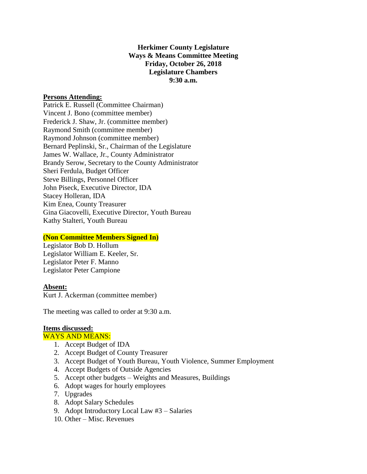## **Herkimer County Legislature Ways & Means Committee Meeting Friday, October 26, 2018 Legislature Chambers 9:30 a.m.**

### **Persons Attending:**

Patrick E. Russell (Committee Chairman) Vincent J. Bono (committee member) Frederick J. Shaw, Jr. (committee member) Raymond Smith (committee member) Raymond Johnson (committee member) Bernard Peplinski, Sr., Chairman of the Legislature James W. Wallace, Jr., County Administrator Brandy Serow, Secretary to the County Administrator Sheri Ferdula, Budget Officer Steve Billings, Personnel Officer John Piseck, Executive Director, IDA Stacey Holleran, IDA Kim Enea, County Treasurer Gina Giacovelli, Executive Director, Youth Bureau Kathy Stalteri, Youth Bureau

### **(Non Committee Members Signed In)**

Legislator Bob D. Hollum Legislator William E. Keeler, Sr. Legislator Peter F. Manno Legislator Peter Campione

### **Absent:**

Kurt J. Ackerman (committee member)

The meeting was called to order at 9:30 a.m.

# **Items discussed:**

#### WAYS AND MEANS:

- 1. Accept Budget of IDA
- 2. Accept Budget of County Treasurer
- 3. Accept Budget of Youth Bureau, Youth Violence, Summer Employment
- 4. Accept Budgets of Outside Agencies
- 5. Accept other budgets Weights and Measures, Buildings
- 6. Adopt wages for hourly employees
- 7. Upgrades
- 8. Adopt Salary Schedules
- 9. Adopt Introductory Local Law #3 Salaries
- 10. Other Misc. Revenues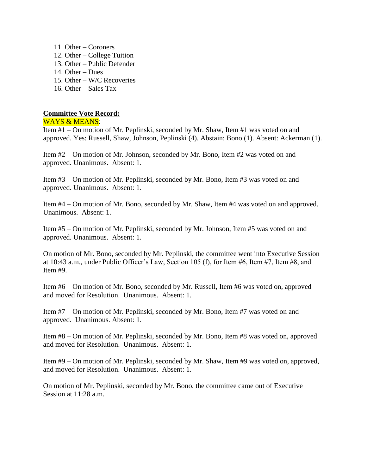- 11. Other Coroners
- 12. Other College Tuition
- 13. Other Public Defender
- 14. Other Dues
- 15. Other W/C Recoveries
- 16. Other Sales Tax

## **Committee Vote Record:**

WAYS & MEANS:

Item #1 – On motion of Mr. Peplinski, seconded by Mr. Shaw, Item #1 was voted on and approved. Yes: Russell, Shaw, Johnson, Peplinski (4). Abstain: Bono (1). Absent: Ackerman (1).

Item #2 – On motion of Mr. Johnson, seconded by Mr. Bono, Item #2 was voted on and approved. Unanimous. Absent: 1.

Item #3 – On motion of Mr. Peplinski, seconded by Mr. Bono, Item #3 was voted on and approved. Unanimous. Absent: 1.

Item #4 – On motion of Mr. Bono, seconded by Mr. Shaw, Item #4 was voted on and approved. Unanimous. Absent: 1.

Item #5 – On motion of Mr. Peplinski, seconded by Mr. Johnson, Item #5 was voted on and approved. Unanimous. Absent: 1.

On motion of Mr. Bono, seconded by Mr. Peplinski, the committee went into Executive Session at 10:43 a.m., under Public Officer's Law, Section 105 (f), for Item #6, Item #7, Item #8, and Item #9.

Item #6 – On motion of Mr. Bono, seconded by Mr. Russell, Item #6 was voted on, approved and moved for Resolution. Unanimous. Absent: 1.

Item #7 – On motion of Mr. Peplinski, seconded by Mr. Bono, Item #7 was voted on and approved. Unanimous. Absent: 1.

Item #8 – On motion of Mr. Peplinski, seconded by Mr. Bono, Item #8 was voted on, approved and moved for Resolution. Unanimous. Absent: 1.

Item #9 – On motion of Mr. Peplinski, seconded by Mr. Shaw, Item #9 was voted on, approved, and moved for Resolution. Unanimous. Absent: 1.

On motion of Mr. Peplinski, seconded by Mr. Bono, the committee came out of Executive Session at 11:28 a.m.